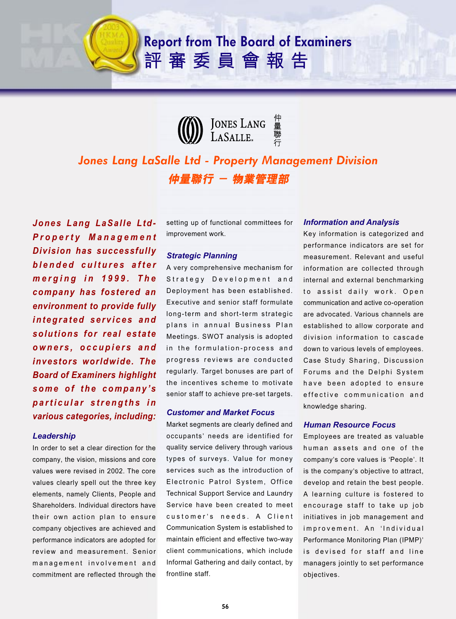# **Report from The Board of Examiners** 評審委員會報告



# *Jones Lang LaSalle Ltd - Property Management Division* 仲量聯行 - 物業管理部

*Jones Lang LaSalle Ltd-Property Management Division has successfully blended cultures after merging in 1999. The company has fostered an environment to provide fully integrated services and solutions for real estate owners, occupiers and investors worldwide. The Board of Examiners highlight some of the company's particular strengths in various categories, including:*

### *Leadership*

In order to set a clear direction for the company, the vision, missions and core values were revised in 2002. The core values clearly spell out the three key elements, namely Clients, People and Shareholders. Individual directors have their own action plan to ensure company objectives are achieved and performance indicators are adopted for review and measurement. Senior management involvement and commitment are reflected through the

setting up of functional committees for improvement work.

## *Strategic Planning*

A very comprehensive mechanism for Strategy Development and Deployment has been established. Executive and senior staff formulate long-term and short-term strategic plans in annual Business Plan Meetings. SWOT analysis is adopted in the formulation-process and progress reviews are conducted regularly. Target bonuses are part of the incentives scheme to motivate senior staff to achieve pre-set targets.

#### *Customer and Market Focus*

Market segments are clearly defined and occupants' needs are identified for quality service delivery through various types of surveys. Value for money services such as the introduction of Electronic Patrol System, Office Technical Support Service and Laundry Service have been created to meet customer's needs. A Client Communication System is established to maintain efficient and effective two-way client communications, which include Informal Gathering and daily contact, by frontline staff.

#### *Information and Analysis*

Key information is categorized and performance indicators are set for measurement. Relevant and useful information are collected through internal and external benchmarking to assist daily work. Open communication and active co-operation are advocated. Various channels are established to allow corporate and division information to cascade down to various levels of employees. Case Study Sharing, Discussion Forums and the Delphi System have been adopted to ensure effective communication and knowledge sharing.

### *Human Resource Focus*

Employees are treated as valuable human assets and one of the company's core values is 'People'. It is the company's objective to attract, develop and retain the best people. A learning culture is fostered to encourage staff to take up job initiatives in job management and improvement. An 'Individual Performance Monitoring Plan (IPMP)' is devised for staff and line managers jointly to set performance objectives.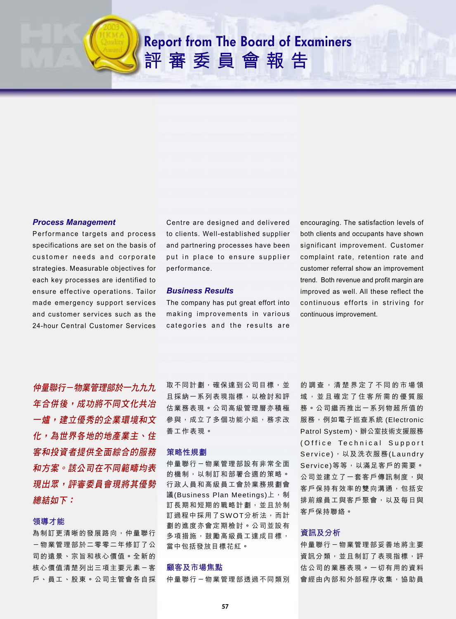# **Report from The Board of Examiners** 評審委員會報告



#### *Process Management*

Performance targets and process specifications are set on the basis of customer needs and corporate strategies. Measurable objectives for each key processes are identified to ensure effective operations. Tailor made emergency support services and customer services such as the 24-hour Central Customer Services Centre are designed and delivered to clients. Well-established supplier and partnering processes have been put in place to ensure supplier performance.

#### *Business Results*

The company has put great effort into making improvements in various categories and the results are

encouraging. The satisfaction levels of both clients and occupants have shown significant improvement. Customer complaint rate, retention rate and customer referral show an improvement trend. Both revenue and profit margin are improved as well. All these reflect the continuous efforts in striving for continuous improvement.

仲量聯行-物業管理部於一九九九 年合併後,成功將不同文化共冶 一爐,建立優秀的企業環境和文 化,為世界各地的地產業主、住 客和投資者提供全面綜合的服務 和方案。該公司在不同範疇均表 現出眾,評審委員會現將其優勢 *總結如下:* 

#### 領導才能

為制訂更清晰的發展路向,仲量聯行 -物業管理部於二零零二年修訂了公 司的遠景、宗旨和核心價值。全新的 核心價值清楚列出三項主要元素一客 户、員工、股東。公司主管會各自採 取不同計劃,確保達到公司目標,並 且採納一系列表現指標,以檢討和評 估業務表現。 公司高級管理層亦積極 參與,成立了多個功能小組,務求改 善工作表現。

#### 策略性規劃

仲量聯行-物業管理部設有非常全面 的機制,以制訂和部署合適的策略。 行政人員和高級員工會於業務規劃會 議(Business Plan Meetings)上,制 訂長期和短期的戰略計劃,並且於制 訂過程中採用了SWOT分析法,而計 劃的進度亦會定期檢討。公司並設有 多項措施,鼓勵高級員工達成目標, 當中包括發放目標花紅。

#### 顧客及市場焦點

仲量聯行-物業管理部透過不同類別

的 調 查 , 清 楚 界 定 了 不 同 的 市 場 領 域 , 並 且 確 定 了 住 客 所 需 的 優 質 服 務。公司繼而推出一系列物超所值的 服務,例如電子巡查系統 (Electronic Patrol System)丶辦公室技術支援服務 (Office Technical Support Service),以及洗衣服務(Laundry Service)等等,以滿足客戶的需要。 公司並建立了一套客戶傳訊制度,與 客戶保持有效率的雙向溝通,包括安 排前線員工與客戶聚會,以及每日與 客戶保持聯絡。

#### 資訊及分析

仲量聯行-物業管理部妥善地將主要 資訊分類,並且制訂了表現指標,評 估公司的業務表現。一切有用的資料 會經由內部和外部程序收集,協助員